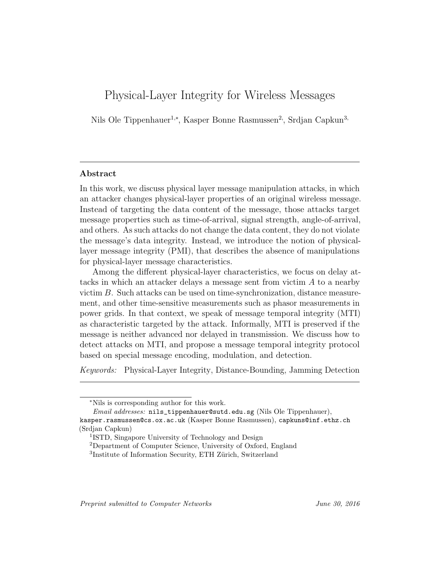# Physical-Layer Integrity for Wireless Messages

Nils Ole Tippenhauer<sup>1,∗</sup>, Kasper Bonne Rasmussen<sup>2</sup>, Srdjan Capkun<sup>3,</sup>

# Abstract

In this work, we discuss physical layer message manipulation attacks, in which an attacker changes physical-layer properties of an original wireless message. Instead of targeting the data content of the message, those attacks target message properties such as time-of-arrival, signal strength, angle-of-arrival, and others. As such attacks do not change the data content, they do not violate the message's data integrity. Instead, we introduce the notion of physicallayer message integrity (PMI), that describes the absence of manipulations for physical-layer message characteristics.

Among the different physical-layer characteristics, we focus on delay attacks in which an attacker delays a message sent from victim A to a nearby victim B. Such attacks can be used on time-synchronization, distance measurement, and other time-sensitive measurements such as phasor measurements in power grids. In that context, we speak of message temporal integrity (MTI) as characteristic targeted by the attack. Informally, MTI is preserved if the message is neither advanced nor delayed in transmission. We discuss how to detect attacks on MTI, and propose a message temporal integrity protocol based on special message encoding, modulation, and detection.

Keywords: Physical-Layer Integrity, Distance-Bounding, Jamming Detection

<sup>∗</sup>Nils is corresponding author for this work.

Email addresses: nils\_tippenhauer@sutd.edu.sg (Nils Ole Tippenhauer),

kasper.rasmussen@cs.ox.ac.uk (Kasper Bonne Rasmussen), capkuns@inf.ethz.ch (Srdjan Capkun)

<sup>&</sup>lt;sup>1</sup>ISTD, Singapore University of Technology and Design

<sup>2</sup>Department of Computer Science, University of Oxford, England

<sup>&</sup>lt;sup>3</sup>Institute of Information Security, ETH Zürich, Switzerland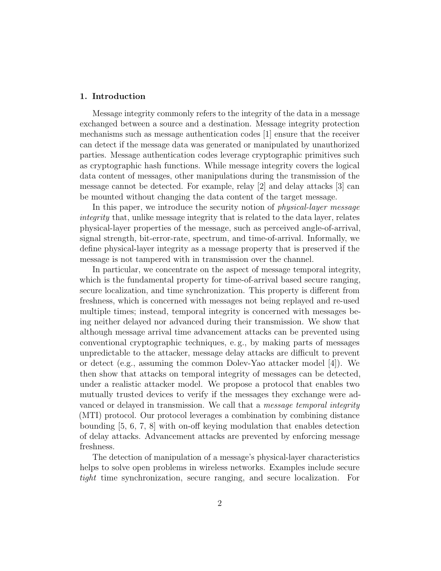# 1. Introduction

Message integrity commonly refers to the integrity of the data in a message exchanged between a source and a destination. Message integrity protection mechanisms such as message authentication codes [1] ensure that the receiver can detect if the message data was generated or manipulated by unauthorized parties. Message authentication codes leverage cryptographic primitives such as cryptographic hash functions. While message integrity covers the logical data content of messages, other manipulations during the transmission of the message cannot be detected. For example, relay [2] and delay attacks [3] can be mounted without changing the data content of the target message.

In this paper, we introduce the security notion of *physical-layer message* integrity that, unlike message integrity that is related to the data layer, relates physical-layer properties of the message, such as perceived angle-of-arrival, signal strength, bit-error-rate, spectrum, and time-of-arrival. Informally, we define physical-layer integrity as a message property that is preserved if the message is not tampered with in transmission over the channel.

In particular, we concentrate on the aspect of message temporal integrity, which is the fundamental property for time-of-arrival based secure ranging, secure localization, and time synchronization. This property is different from freshness, which is concerned with messages not being replayed and re-used multiple times; instead, temporal integrity is concerned with messages being neither delayed nor advanced during their transmission. We show that although message arrival time advancement attacks can be prevented using conventional cryptographic techniques, e. g., by making parts of messages unpredictable to the attacker, message delay attacks are difficult to prevent or detect (e.g., assuming the common Dolev-Yao attacker model  $|4|$ ). We then show that attacks on temporal integrity of messages can be detected, under a realistic attacker model. We propose a protocol that enables two mutually trusted devices to verify if the messages they exchange were advanced or delayed in transmission. We call that a *message temporal integrity* (MTI) protocol. Our protocol leverages a combination by combining distance bounding [5, 6, 7, 8] with on-off keying modulation that enables detection of delay attacks. Advancement attacks are prevented by enforcing message freshness.

The detection of manipulation of a message's physical-layer characteristics helps to solve open problems in wireless networks. Examples include secure tight time synchronization, secure ranging, and secure localization. For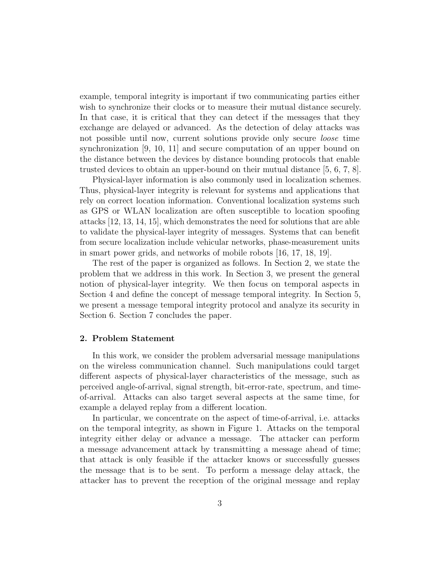example, temporal integrity is important if two communicating parties either wish to synchronize their clocks or to measure their mutual distance securely. In that case, it is critical that they can detect if the messages that they exchange are delayed or advanced. As the detection of delay attacks was not possible until now, current solutions provide only secure loose time synchronization [9, 10, 11] and secure computation of an upper bound on the distance between the devices by distance bounding protocols that enable trusted devices to obtain an upper-bound on their mutual distance [5, 6, 7, 8].

Physical-layer information is also commonly used in localization schemes. Thus, physical-layer integrity is relevant for systems and applications that rely on correct location information. Conventional localization systems such as GPS or WLAN localization are often susceptible to location spoofing attacks [12, 13, 14, 15], which demonstrates the need for solutions that are able to validate the physical-layer integrity of messages. Systems that can benefit from secure localization include vehicular networks, phase-measurement units in smart power grids, and networks of mobile robots [16, 17, 18, 19].

The rest of the paper is organized as follows. In Section 2, we state the problem that we address in this work. In Section 3, we present the general notion of physical-layer integrity. We then focus on temporal aspects in Section 4 and define the concept of message temporal integrity. In Section 5, we present a message temporal integrity protocol and analyze its security in Section 6. Section 7 concludes the paper.

## 2. Problem Statement

In this work, we consider the problem adversarial message manipulations on the wireless communication channel. Such manipulations could target different aspects of physical-layer characteristics of the message, such as perceived angle-of-arrival, signal strength, bit-error-rate, spectrum, and timeof-arrival. Attacks can also target several aspects at the same time, for example a delayed replay from a different location.

In particular, we concentrate on the aspect of time-of-arrival, i.e. attacks on the temporal integrity, as shown in Figure 1. Attacks on the temporal integrity either delay or advance a message. The attacker can perform a message advancement attack by transmitting a message ahead of time; that attack is only feasible if the attacker knows or successfully guesses the message that is to be sent. To perform a message delay attack, the attacker has to prevent the reception of the original message and replay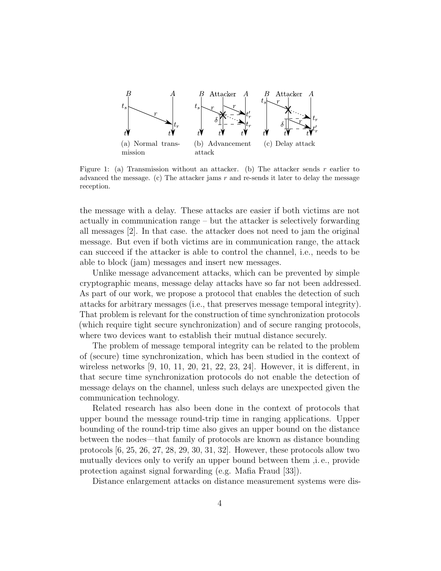

Figure 1: (a) Transmission without an attacker. (b) The attacker sends r earlier to advanced the message. (c) The attacker jams  $r$  and re-sends it later to delay the message reception.

the message with a delay. These attacks are easier if both victims are not actually in communication range – but the attacker is selectively forwarding all messages [2]. In that case. the attacker does not need to jam the original message. But even if both victims are in communication range, the attack can succeed if the attacker is able to control the channel, i.e., needs to be able to block (jam) messages and insert new messages.

Unlike message advancement attacks, which can be prevented by simple cryptographic means, message delay attacks have so far not been addressed. As part of our work, we propose a protocol that enables the detection of such attacks for arbitrary messages (i.e., that preserves message temporal integrity). That problem is relevant for the construction of time synchronization protocols (which require tight secure synchronization) and of secure ranging protocols, where two devices want to establish their mutual distance securely.

The problem of message temporal integrity can be related to the problem of (secure) time synchronization, which has been studied in the context of wireless networks [9, 10, 11, 20, 21, 22, 23, 24]. However, it is different, in that secure time synchronization protocols do not enable the detection of message delays on the channel, unless such delays are unexpected given the communication technology.

Related research has also been done in the context of protocols that upper bound the message round-trip time in ranging applications. Upper bounding of the round-trip time also gives an upper bound on the distance between the nodes—that family of protocols are known as distance bounding protocols [6, 25, 26, 27, 28, 29, 30, 31, 32]. However, these protocols allow two mutually devices only to verify an upper bound between them ,i. e., provide protection against signal forwarding (e.g. Mafia Fraud [33]).

Distance enlargement attacks on distance measurement systems were dis-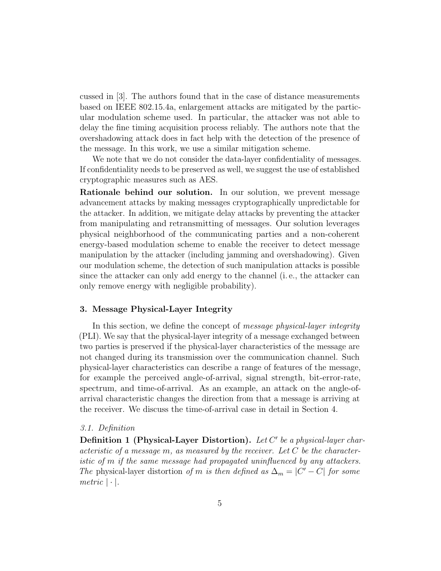cussed in [3]. The authors found that in the case of distance measurements based on IEEE 802.15.4a, enlargement attacks are mitigated by the particular modulation scheme used. In particular, the attacker was not able to delay the fine timing acquisition process reliably. The authors note that the overshadowing attack does in fact help with the detection of the presence of the message. In this work, we use a similar mitigation scheme.

We note that we do not consider the data-layer confidentiality of messages. If confidentiality needs to be preserved as well, we suggest the use of established cryptographic measures such as AES.

Rationale behind our solution. In our solution, we prevent message advancement attacks by making messages cryptographically unpredictable for the attacker. In addition, we mitigate delay attacks by preventing the attacker from manipulating and retransmitting of messages. Our solution leverages physical neighborhood of the communicating parties and a non-coherent energy-based modulation scheme to enable the receiver to detect message manipulation by the attacker (including jamming and overshadowing). Given our modulation scheme, the detection of such manipulation attacks is possible since the attacker can only add energy to the channel (i. e., the attacker can only remove energy with negligible probability).

## 3. Message Physical-Layer Integrity

In this section, we define the concept of *message physical-layer integrity* (PLI). We say that the physical-layer integrity of a message exchanged between two parties is preserved if the physical-layer characteristics of the message are not changed during its transmission over the communication channel. Such physical-layer characteristics can describe a range of features of the message, for example the perceived angle-of-arrival, signal strength, bit-error-rate, spectrum, and time-of-arrival. As an example, an attack on the angle-ofarrival characteristic changes the direction from that a message is arriving at the receiver. We discuss the time-of-arrival case in detail in Section 4.

#### 3.1. Definition

Definition 1 (Physical-Layer Distortion). Let  $C'$  be a physical-layer characteristic of a message m, as measured by the receiver. Let  $C$  be the characteristic of m if the same message had propagated uninfluenced by any attackers. The physical-layer distortion of m is then defined as  $\Delta_m = |C' - C|$  for some  $metric | \cdot |$ .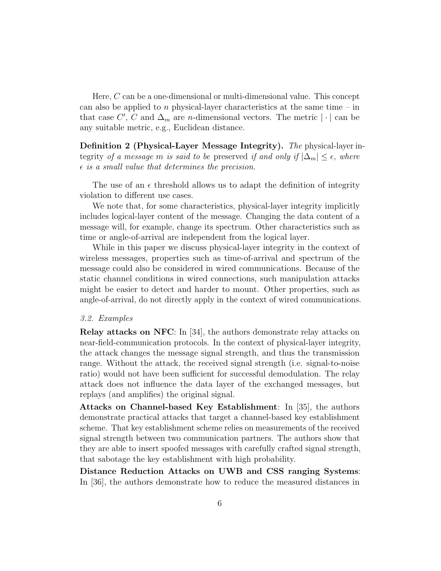Here, C can be a one-dimensional or multi-dimensional value. This concept can also be applied to *n* physical-layer characteristics at the same time – in that case  $C'$ , C and  $\Delta_m$  are *n*-dimensional vectors. The metric  $|\cdot|$  can be any suitable metric, e.g., Euclidean distance.

Definition 2 (Physical-Layer Message Integrity). The physical-layer integrity of a message m is said to be preserved if and only if  $|\Delta_m| \leq \epsilon$ , where  $\epsilon$  is a small value that determines the precision.

The use of an  $\epsilon$  threshold allows us to adapt the definition of integrity violation to different use cases.

We note that, for some characteristics, physical-layer integrity implicitly includes logical-layer content of the message. Changing the data content of a message will, for example, change its spectrum. Other characteristics such as time or angle-of-arrival are independent from the logical layer.

While in this paper we discuss physical-layer integrity in the context of wireless messages, properties such as time-of-arrival and spectrum of the message could also be considered in wired communications. Because of the static channel conditions in wired connections, such manipulation attacks might be easier to detect and harder to mount. Other properties, such as angle-of-arrival, do not directly apply in the context of wired communications.

#### 3.2. Examples

Relay attacks on NFC: In [34], the authors demonstrate relay attacks on near-field-communication protocols. In the context of physical-layer integrity, the attack changes the message signal strength, and thus the transmission range. Without the attack, the received signal strength (i.e. signal-to-noise ratio) would not have been sufficient for successful demodulation. The relay attack does not influence the data layer of the exchanged messages, but replays (and amplifies) the original signal.

Attacks on Channel-based Key Establishment: In [35], the authors demonstrate practical attacks that target a channel-based key establishment scheme. That key establishment scheme relies on measurements of the received signal strength between two communication partners. The authors show that they are able to insert spoofed messages with carefully crafted signal strength, that sabotage the key establishment with high probability.

Distance Reduction Attacks on UWB and CSS ranging Systems: In [36], the authors demonstrate how to reduce the measured distances in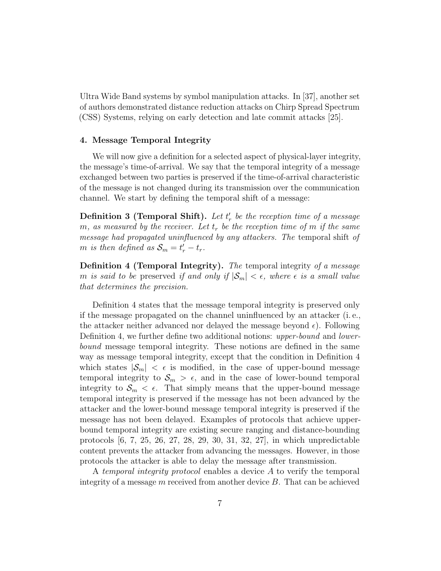Ultra Wide Band systems by symbol manipulation attacks. In [37], another set of authors demonstrated distance reduction attacks on Chirp Spread Spectrum (CSS) Systems, relying on early detection and late commit attacks [25].

## 4. Message Temporal Integrity

We will now give a definition for a selected aspect of physical-layer integrity, the message's time-of-arrival. We say that the temporal integrity of a message exchanged between two parties is preserved if the time-of-arrival characteristic of the message is not changed during its transmission over the communication channel. We start by defining the temporal shift of a message:

**Definition 3 (Temporal Shift).** Let  $t_r$  be the reception time of a message m, as measured by the receiver. Let  $t_r$  be the reception time of m if the same message had propagated uninfluenced by any attackers. The temporal shift of m is then defined as  $S_m = t'_r - t_r$ .

Definition 4 (Temporal Integrity). The temporal integrity of a message m is said to be preserved if and only if  $|\mathcal{S}_m| < \epsilon$ , where  $\epsilon$  is a small value that determines the precision.

Definition 4 states that the message temporal integrity is preserved only if the message propagated on the channel uninfluenced by an attacker (i. e., the attacker neither advanced nor delayed the message beyond  $\epsilon$ ). Following Definition 4, we further define two additional notions: *upper-bound* and *lower*bound message temporal integrity. These notions are defined in the same way as message temporal integrity, except that the condition in Definition 4 which states  $|\mathcal{S}_m| < \epsilon$  is modified, in the case of upper-bound message temporal integrity to  $S_m > \epsilon$ , and in the case of lower-bound temporal integrity to  $S_m < \epsilon$ . That simply means that the upper-bound message temporal integrity is preserved if the message has not been advanced by the attacker and the lower-bound message temporal integrity is preserved if the message has not been delayed. Examples of protocols that achieve upperbound temporal integrity are existing secure ranging and distance-bounding protocols [6, 7, 25, 26, 27, 28, 29, 30, 31, 32, 27], in which unpredictable content prevents the attacker from advancing the messages. However, in those protocols the attacker is able to delay the message after transmission.

A temporal integrity protocol enables a device A to verify the temporal integrity of a message  $m$  received from another device  $B$ . That can be achieved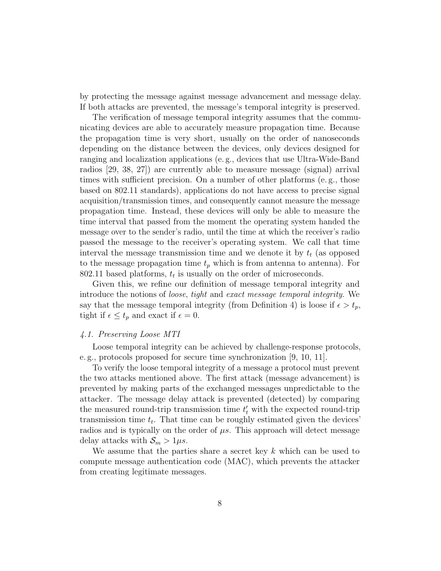by protecting the message against message advancement and message delay. If both attacks are prevented, the message's temporal integrity is preserved.

The verification of message temporal integrity assumes that the communicating devices are able to accurately measure propagation time. Because the propagation time is very short, usually on the order of nanoseconds depending on the distance between the devices, only devices designed for ranging and localization applications (e. g., devices that use Ultra-Wide-Band radios [29, 38, 27]) are currently able to measure message (signal) arrival times with sufficient precision. On a number of other platforms (e. g., those based on 802.11 standards), applications do not have access to precise signal acquisition/transmission times, and consequently cannot measure the message propagation time. Instead, these devices will only be able to measure the time interval that passed from the moment the operating system handed the message over to the sender's radio, until the time at which the receiver's radio passed the message to the receiver's operating system. We call that time interval the message transmission time and we denote it by  $t_t$  (as opposed to the message propagation time  $t_p$  which is from antenna to antenna). For 802.11 based platforms,  $t_t$  is usually on the order of microseconds.

Given this, we refine our definition of message temporal integrity and introduce the notions of loose, tight and exact message temporal integrity. We say that the message temporal integrity (from Definition 4) is loose if  $\epsilon > t_p$ , tight if  $\epsilon \leq t_p$  and exact if  $\epsilon = 0$ .

## 4.1. Preserving Loose MTI

Loose temporal integrity can be achieved by challenge-response protocols, e. g., protocols proposed for secure time synchronization [9, 10, 11].

To verify the loose temporal integrity of a message a protocol must prevent the two attacks mentioned above. The first attack (message advancement) is prevented by making parts of the exchanged messages unpredictable to the attacker. The message delay attack is prevented (detected) by comparing the measured round-trip transmission time  $t'_{t}$  with the expected round-trip transmission time  $t_t$ . That time can be roughly estimated given the devices' radios and is typically on the order of  $\mu$ s. This approach will detect message delay attacks with  $S_m > 1 \mu s$ .

We assume that the parties share a secret key  $k$  which can be used to compute message authentication code (MAC), which prevents the attacker from creating legitimate messages.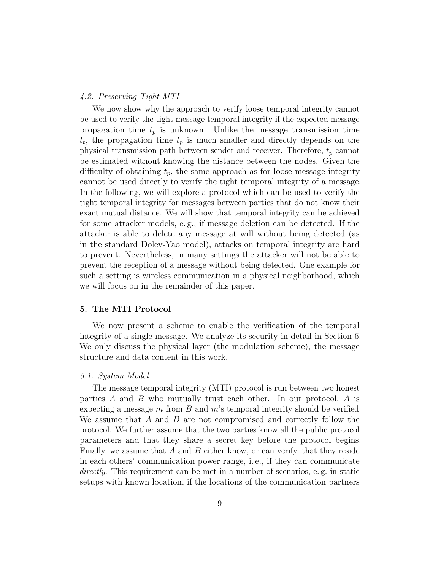## 4.2. Preserving Tight MTI

We now show why the approach to verify loose temporal integrity cannot be used to verify the tight message temporal integrity if the expected message propagation time  $t_p$  is unknown. Unlike the message transmission time  $t_t$ , the propagation time  $t_p$  is much smaller and directly depends on the physical transmission path between sender and receiver. Therefore,  $t_p$  cannot be estimated without knowing the distance between the nodes. Given the difficulty of obtaining  $t_p$ , the same approach as for loose message integrity cannot be used directly to verify the tight temporal integrity of a message. In the following, we will explore a protocol which can be used to verify the tight temporal integrity for messages between parties that do not know their exact mutual distance. We will show that temporal integrity can be achieved for some attacker models, e. g., if message deletion can be detected. If the attacker is able to delete any message at will without being detected (as in the standard Dolev-Yao model), attacks on temporal integrity are hard to prevent. Nevertheless, in many settings the attacker will not be able to prevent the reception of a message without being detected. One example for such a setting is wireless communication in a physical neighborhood, which we will focus on in the remainder of this paper.

# 5. The MTI Protocol

We now present a scheme to enable the verification of the temporal integrity of a single message. We analyze its security in detail in Section 6. We only discuss the physical layer (the modulation scheme), the message structure and data content in this work.

#### 5.1. System Model

The message temporal integrity (MTI) protocol is run between two honest parties A and B who mutually trust each other. In our protocol, A is expecting a message m from  $B$  and m's temporal integrity should be verified. We assume that  $A$  and  $B$  are not compromised and correctly follow the protocol. We further assume that the two parties know all the public protocol parameters and that they share a secret key before the protocol begins. Finally, we assume that A and B either know, or can verify, that they reside in each others' communication power range, i. e., if they can communicate directly. This requirement can be met in a number of scenarios, e.g. in static setups with known location, if the locations of the communication partners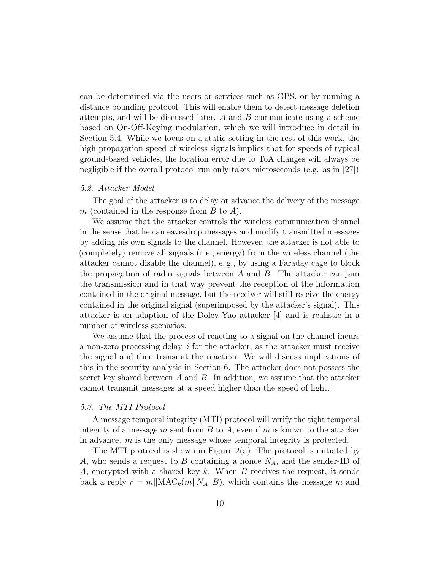can be determined via the users or services such as GPS, or by running a distance bounding protocol. This will enable them to detect message deletion attempts, and will be discussed later. A and B communicate using a scheme based on On-Off-Keying modulation, which we will introduce in detail in Section 5.4. While we focus on a static setting in the rest of this work, the high propagation speed of wireless signals implies that for speeds of typical ground-based vehicles, the location error due to ToA changes will always be negligible if the overall protocol run only takes microseconds (e.g. as in [27]).

## 5.2. Attacker Model

The goal of the attacker is to delay or advance the delivery of the message m (contained in the response from  $B$  to  $A$ ).

We assume that the attacker controls the wireless communication channel in the sense that he can eavesdrop messages and modify transmitted messages by adding his own signals to the channel. However, the attacker is not able to (completely) remove all signals (i. e., energy) from the wireless channel (the attacker cannot disable the channel), e. g., by using a Faraday cage to block the propagation of radio signals between  $A$  and  $B$ . The attacker can jam the transmission and in that way prevent the reception of the information contained in the original message, but the receiver will still receive the energy contained in the original signal (superimposed by the attacker's signal). This attacker is an adaption of the Dolev-Yao attacker [4] and is realistic in a number of wireless scenarios.

We assume that the process of reacting to a signal on the channel incurs a non-zero processing delay  $\delta$  for the attacker, as the attacker must receive the signal and then transmit the reaction. We will discuss implications of this in the security analysis in Section 6. The attacker does not possess the secret key shared between  $A$  and  $B$ . In addition, we assume that the attacker cannot transmit messages at a speed higher than the speed of light.

#### 5.3. The MTI Protocol

A message temporal integrity (MTI) protocol will verify the tight temporal integrity of a message m sent from B to A, even if m is known to the attacker in advance. m is the only message whose temporal integrity is protected.

The MTI protocol is shown in Figure  $2(a)$ . The protocol is initiated by A, who sends a request to B containing a nonce  $N_A$ , and the sender-ID of A, encrypted with a shared key  $k$ . When  $B$  receives the request, it sends back a reply  $r = m\|\text{MAC}_k(m\|N_A\|B)$ , which contains the message m and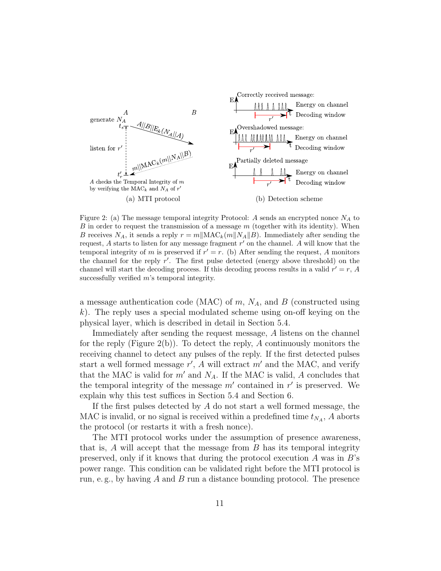

Figure 2: (a) The message temporal integrity Protocol: A sends an encrypted nonce  $N_A$  to B in order to request the transmission of a message  $m$  (together with its identity). When B receives  $N_A$ , it sends a reply  $r = m\|\text{MAC}_k(m\|N_A\|B)$ . Immediately after sending the request,  $A$  starts to listen for any message fragment  $r'$  on the channel.  $A$  will know that the temporal integrity of m is preserved if  $r' = r$ . (b) After sending the request, A monitors the channel for the reply  $r'$ . The first pulse detected (energy above threshold) on the channel will start the decoding process. If this decoding process results in a valid  $r' = r$ , A successfully verified m's temporal integrity.

a message authentication code (MAC) of  $m$ ,  $N_A$ , and  $B$  (constructed using  $k$ ). The reply uses a special modulated scheme using on-off keying on the physical layer, which is described in detail in Section 5.4.

Immediately after sending the request message, A listens on the channel for the reply (Figure 2(b)). To detect the reply, A continuously monitors the receiving channel to detect any pulses of the reply. If the first detected pulses start a well formed message  $r'$ , A will extract  $m'$  and the MAC, and verify that the MAC is valid for  $m'$  and  $N_A$ . If the MAC is valid, A concludes that the temporal integrity of the message  $m'$  contained in  $r'$  is preserved. We explain why this test suffices in Section 5.4 and Section 6.

If the first pulses detected by A do not start a well formed message, the MAC is invalid, or no signal is received within a predefined time  $t_{N_A}$ , A aborts the protocol (or restarts it with a fresh nonce).

The MTI protocol works under the assumption of presence awareness, that is,  $A$  will accept that the message from  $B$  has its temporal integrity preserved, only if it knows that during the protocol execution  $A$  was in  $B$ 's power range. This condition can be validated right before the MTI protocol is run, e.g., by having A and B run a distance bounding protocol. The presence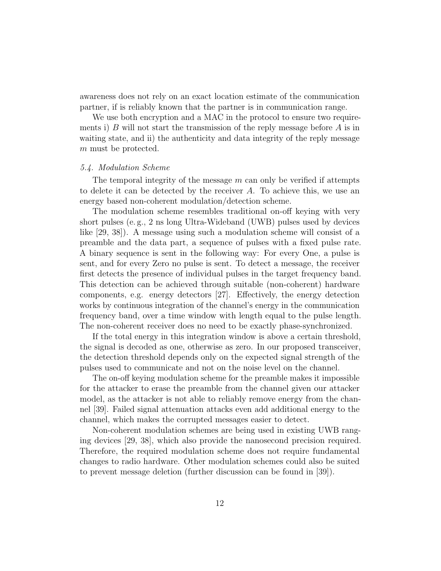awareness does not rely on an exact location estimate of the communication partner, if is reliably known that the partner is in communication range.

We use both encryption and a MAC in the protocol to ensure two requirements i) B will not start the transmission of the reply message before  $A$  is in waiting state, and ii) the authenticity and data integrity of the reply message m must be protected.

## 5.4. Modulation Scheme

The temporal integrity of the message  $m$  can only be verified if attempts to delete it can be detected by the receiver A. To achieve this, we use an energy based non-coherent modulation/detection scheme.

The modulation scheme resembles traditional on-off keying with very short pulses (e. g., 2 ns long Ultra-Wideband (UWB) pulses used by devices like [29, 38]). A message using such a modulation scheme will consist of a preamble and the data part, a sequence of pulses with a fixed pulse rate. A binary sequence is sent in the following way: For every One, a pulse is sent, and for every Zero no pulse is sent. To detect a message, the receiver first detects the presence of individual pulses in the target frequency band. This detection can be achieved through suitable (non-coherent) hardware components, e.g. energy detectors [27]. Effectively, the energy detection works by continuous integration of the channel's energy in the communication frequency band, over a time window with length equal to the pulse length. The non-coherent receiver does no need to be exactly phase-synchronized.

If the total energy in this integration window is above a certain threshold, the signal is decoded as one, otherwise as zero. In our proposed transceiver, the detection threshold depends only on the expected signal strength of the pulses used to communicate and not on the noise level on the channel.

The on-off keying modulation scheme for the preamble makes it impossible for the attacker to erase the preamble from the channel given our attacker model, as the attacker is not able to reliably remove energy from the channel [39]. Failed signal attenuation attacks even add additional energy to the channel, which makes the corrupted messages easier to detect.

Non-coherent modulation schemes are being used in existing UWB ranging devices [29, 38], which also provide the nanosecond precision required. Therefore, the required modulation scheme does not require fundamental changes to radio hardware. Other modulation schemes could also be suited to prevent message deletion (further discussion can be found in [39]).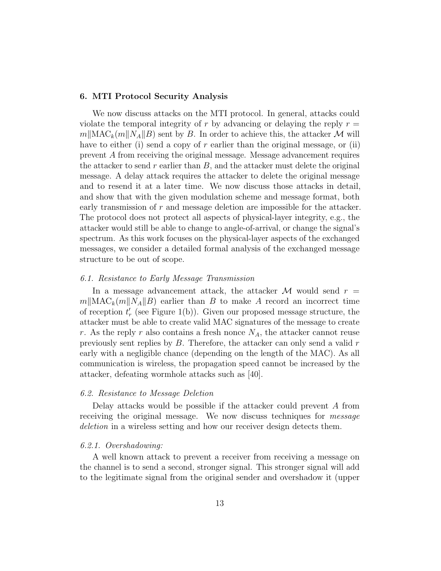#### 6. MTI Protocol Security Analysis

We now discuss attacks on the MTI protocol. In general, attacks could violate the temporal integrity of r by advancing or delaying the reply  $r =$  $m\|\text{MAC}_k(m\|N_A\|B)$  sent by B. In order to achieve this, the attacker M will have to either (i) send a copy of  $r$  earlier than the original message, or (ii) prevent A from receiving the original message. Message advancement requires the attacker to send  $r$  earlier than  $B$ , and the attacker must delete the original message. A delay attack requires the attacker to delete the original message and to resend it at a later time. We now discuss those attacks in detail, and show that with the given modulation scheme and message format, both early transmission of r and message deletion are impossible for the attacker. The protocol does not protect all aspects of physical-layer integrity, e.g., the attacker would still be able to change to angle-of-arrival, or change the signal's spectrum. As this work focuses on the physical-layer aspects of the exchanged messages, we consider a detailed formal analysis of the exchanged message structure to be out of scope.

## 6.1. Resistance to Early Message Transmission

In a message advancement attack, the attacker M would send  $r =$  $m\|\text{MAC}_k(m\|N_A\|B)$  earlier than B to make A record an incorrect time of reception  $t_r'$  (see Figure 1(b)). Given our proposed message structure, the attacker must be able to create valid MAC signatures of the message to create r. As the reply r also contains a fresh nonce  $N_A$ , the attacker cannot reuse previously sent replies by  $B$ . Therefore, the attacker can only send a valid  $r$ early with a negligible chance (depending on the length of the MAC). As all communication is wireless, the propagation speed cannot be increased by the attacker, defeating wormhole attacks such as [40].

#### 6.2. Resistance to Message Deletion

Delay attacks would be possible if the attacker could prevent A from receiving the original message. We now discuss techniques for *message* deletion in a wireless setting and how our receiver design detects them.

#### 6.2.1. Overshadowing:

A well known attack to prevent a receiver from receiving a message on the channel is to send a second, stronger signal. This stronger signal will add to the legitimate signal from the original sender and overshadow it (upper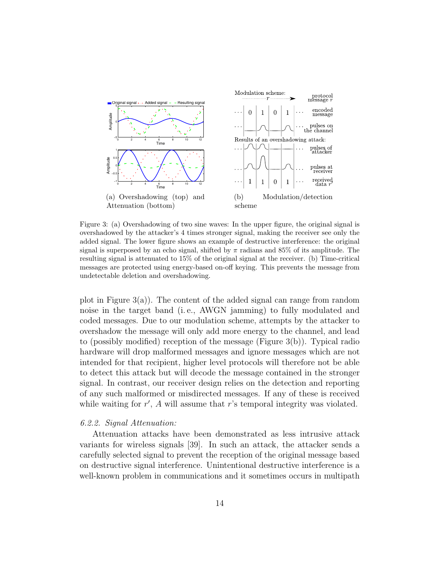

Figure 3: (a) Overshadowing of two sine waves: In the upper figure, the original signal is overshadowed by the attacker's 4 times stronger signal, making the receiver see only the added signal. The lower figure shows an example of destructive interference: the original signal is superposed by an echo signal, shifted by  $\pi$  radians and 85% of its amplitude. The resulting signal is attenuated to 15% of the original signal at the receiver. (b) Time-critical messages are protected using energy-based on-off keying. This prevents the message from undetectable deletion and overshadowing.

plot in Figure 3(a)). The content of the added signal can range from random noise in the target band (i. e., AWGN jamming) to fully modulated and coded messages. Due to our modulation scheme, attempts by the attacker to overshadow the message will only add more energy to the channel, and lead to (possibly modified) reception of the message (Figure 3(b)). Typical radio hardware will drop malformed messages and ignore messages which are not intended for that recipient, higher level protocols will therefore not be able to detect this attack but will decode the message contained in the stronger signal. In contrast, our receiver design relies on the detection and reporting of any such malformed or misdirected messages. If any of these is received while waiting for  $r'$ ,  $A$  will assume that  $r'$ 's temporal integrity was violated.

## 6.2.2. Signal Attenuation:

Attenuation attacks have been demonstrated as less intrusive attack variants for wireless signals [39]. In such an attack, the attacker sends a carefully selected signal to prevent the reception of the original message based on destructive signal interference. Unintentional destructive interference is a well-known problem in communications and it sometimes occurs in multipath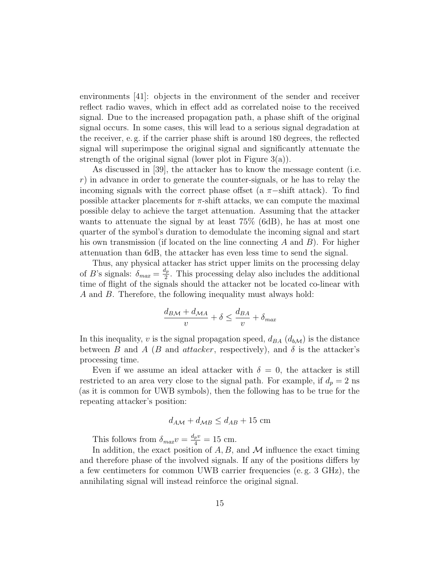environments [41]: objects in the environment of the sender and receiver reflect radio waves, which in effect add as correlated noise to the received signal. Due to the increased propagation path, a phase shift of the original signal occurs. In some cases, this will lead to a serious signal degradation at the receiver, e. g. if the carrier phase shift is around 180 degrees, the reflected signal will superimpose the original signal and significantly attenuate the strength of the original signal (lower plot in Figure 3(a)).

As discussed in [39], the attacker has to know the message content (i.e.  $r$ ) in advance in order to generate the counter-signals, or he has to relay the incoming signals with the correct phase offset (a  $\pi$ -shift attack). To find possible attacker placements for  $\pi$ -shift attacks, we can compute the maximal possible delay to achieve the target attenuation. Assuming that the attacker wants to attenuate the signal by at least 75% (6dB), he has at most one quarter of the symbol's duration to demodulate the incoming signal and start his own transmission (if located on the line connecting  $A$  and  $B$ ). For higher attenuation than 6dB, the attacker has even less time to send the signal.

Thus, any physical attacker has strict upper limits on the processing delay of *B*'s signals:  $\delta_{max} = \frac{d_p}{2}$  $\frac{L_p}{2}$ . This processing delay also includes the additional time of flight of the signals should the attacker not be located co-linear with A and B. Therefore, the following inequality must always hold:

$$
\frac{d_{BM} + d_{MA}}{v} + \delta \le \frac{d_{BA}}{v} + \delta_{max}
$$

In this inequality, v is the signal propagation speed,  $d_{BA}$  ( $d_{bM}$ ) is the distance between B and A (B and attacker, respectively), and  $\delta$  is the attacker's processing time.

Even if we assume an ideal attacker with  $\delta = 0$ , the attacker is still restricted to an area very close to the signal path. For example, if  $d_p = 2$  ns (as it is common for UWB symbols), then the following has to be true for the repeating attacker's position:

$$
d_{A\mathcal{M}} + d_{\mathcal{M}B} \leq d_{AB} + 15 \text{ cm}
$$

This follows from  $\delta_{max}v = \frac{d_p v}{4} = 15$  cm.

In addition, the exact position of  $A, B$ , and  $M$  influence the exact timing and therefore phase of the involved signals. If any of the positions differs by a few centimeters for common UWB carrier frequencies (e. g. 3 GHz), the annihilating signal will instead reinforce the original signal.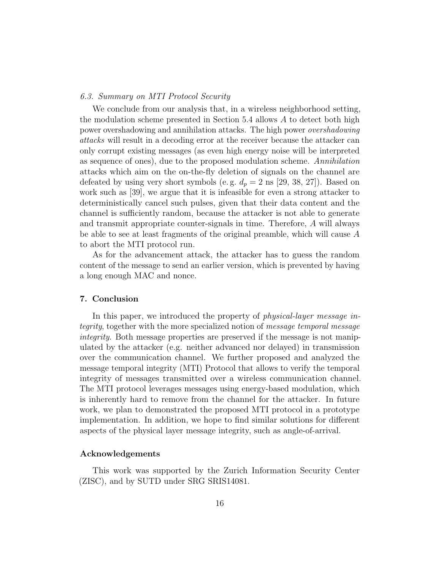#### 6.3. Summary on MTI Protocol Security

We conclude from our analysis that, in a wireless neighborhood setting, the modulation scheme presented in Section 5.4 allows A to detect both high power overshadowing and annihilation attacks. The high power overshadowing attacks will result in a decoding error at the receiver because the attacker can only corrupt existing messages (as even high energy noise will be interpreted as sequence of ones), due to the proposed modulation scheme. Annihilation attacks which aim on the on-the-fly deletion of signals on the channel are defeated by using very short symbols (e.g.  $d_p = 2$  ns [29, 38, 27]). Based on work such as [39], we argue that it is infeasible for even a strong attacker to deterministically cancel such pulses, given that their data content and the channel is sufficiently random, because the attacker is not able to generate and transmit appropriate counter-signals in time. Therefore, A will always be able to see at least fragments of the original preamble, which will cause A to abort the MTI protocol run.

As for the advancement attack, the attacker has to guess the random content of the message to send an earlier version, which is prevented by having a long enough MAC and nonce.

## 7. Conclusion

In this paper, we introduced the property of *physical-layer message in*tegrity, together with the more specialized notion of message temporal message integrity. Both message properties are preserved if the message is not manipulated by the attacker (e.g. neither advanced nor delayed) in transmission over the communication channel. We further proposed and analyzed the message temporal integrity (MTI) Protocol that allows to verify the temporal integrity of messages transmitted over a wireless communication channel. The MTI protocol leverages messages using energy-based modulation, which is inherently hard to remove from the channel for the attacker. In future work, we plan to demonstrated the proposed MTI protocol in a prototype implementation. In addition, we hope to find similar solutions for different aspects of the physical layer message integrity, such as angle-of-arrival.

## Acknowledgements

This work was supported by the Zurich Information Security Center (ZISC), and by SUTD under SRG SRIS14081.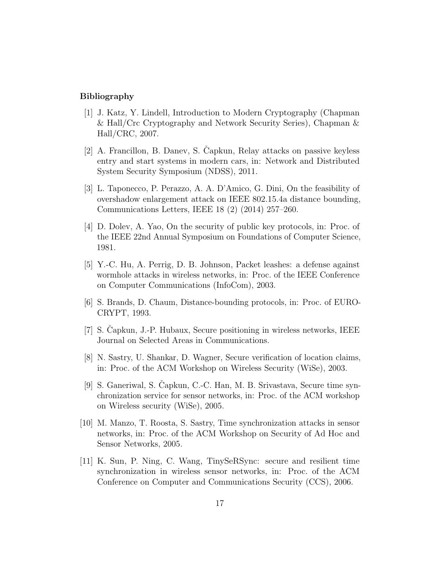## Bibliography

- [1] J. Katz, Y. Lindell, Introduction to Modern Cryptography (Chapman & Hall/Crc Cryptography and Network Security Series), Chapman & Hall/CRC, 2007.
- [2] A. Francillon, B. Danev, S. Capkun, Relay attacks on passive keyless entry and start systems in modern cars, in: Network and Distributed System Security Symposium (NDSS), 2011.
- [3] L. Taponecco, P. Perazzo, A. A. D'Amico, G. Dini, On the feasibility of overshadow enlargement attack on IEEE 802.15.4a distance bounding, Communications Letters, IEEE 18 (2) (2014) 257–260.
- [4] D. Dolev, A. Yao, On the security of public key protocols, in: Proc. of the IEEE 22nd Annual Symposium on Foundations of Computer Science, 1981.
- [5] Y.-C. Hu, A. Perrig, D. B. Johnson, Packet leashes: a defense against wormhole attacks in wireless networks, in: Proc. of the IEEE Conference on Computer Communications (InfoCom), 2003.
- [6] S. Brands, D. Chaum, Distance-bounding protocols, in: Proc. of EURO-CRYPT, 1993.
- [7] S. Capkun, J.-P. Hubaux, Secure positioning in wireless networks, IEEE Journal on Selected Areas in Communications.
- [8] N. Sastry, U. Shankar, D. Wagner, Secure verification of location claims, in: Proc. of the ACM Workshop on Wireless Security (WiSe), 2003.
- [9] S. Ganeriwal, S. Čapkun, C.-C. Han, M. B. Srivastava, Secure time synchronization service for sensor networks, in: Proc. of the ACM workshop on Wireless security (WiSe), 2005.
- [10] M. Manzo, T. Roosta, S. Sastry, Time synchronization attacks in sensor networks, in: Proc. of the ACM Workshop on Security of Ad Hoc and Sensor Networks, 2005.
- [11] K. Sun, P. Ning, C. Wang, TinySeRSync: secure and resilient time synchronization in wireless sensor networks, in: Proc. of the ACM Conference on Computer and Communications Security (CCS), 2006.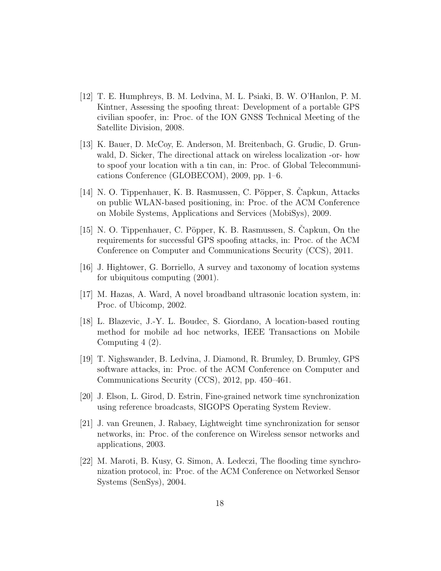- [12] T. E. Humphreys, B. M. Ledvina, M. L. Psiaki, B. W. O'Hanlon, P. M. Kintner, Assessing the spoofing threat: Development of a portable GPS civilian spoofer, in: Proc. of the ION GNSS Technical Meeting of the Satellite Division, 2008.
- [13] K. Bauer, D. McCoy, E. Anderson, M. Breitenbach, G. Grudic, D. Grunwald, D. Sicker, The directional attack on wireless localization -or- how to spoof your location with a tin can, in: Proc. of Global Telecommunications Conference (GLOBECOM), 2009, pp. 1–6.
- [14] N. O. Tippenhauer, K. B. Rasmussen, C. Pöpper, S. Capkun, Attacks on public WLAN-based positioning, in: Proc. of the ACM Conference on Mobile Systems, Applications and Services (MobiSys), 2009.
- [15] N. O. Tippenhauer, C. Pöpper, K. B. Rasmussen, S. Capkun, On the requirements for successful GPS spoofing attacks, in: Proc. of the ACM Conference on Computer and Communications Security (CCS), 2011.
- [16] J. Hightower, G. Borriello, A survey and taxonomy of location systems for ubiquitous computing (2001).
- [17] M. Hazas, A. Ward, A novel broadband ultrasonic location system, in: Proc. of Ubicomp, 2002.
- [18] L. Blazevic, J.-Y. L. Boudec, S. Giordano, A location-based routing method for mobile ad hoc networks, IEEE Transactions on Mobile Computing 4 (2).
- [19] T. Nighswander, B. Ledvina, J. Diamond, R. Brumley, D. Brumley, GPS software attacks, in: Proc. of the ACM Conference on Computer and Communications Security (CCS), 2012, pp. 450–461.
- [20] J. Elson, L. Girod, D. Estrin, Fine-grained network time synchronization using reference broadcasts, SIGOPS Operating System Review.
- [21] J. van Greunen, J. Rabaey, Lightweight time synchronization for sensor networks, in: Proc. of the conference on Wireless sensor networks and applications, 2003.
- [22] M. Maroti, B. Kusy, G. Simon, A. Ledeczi, The flooding time synchronization protocol, in: Proc. of the ACM Conference on Networked Sensor Systems (SenSys), 2004.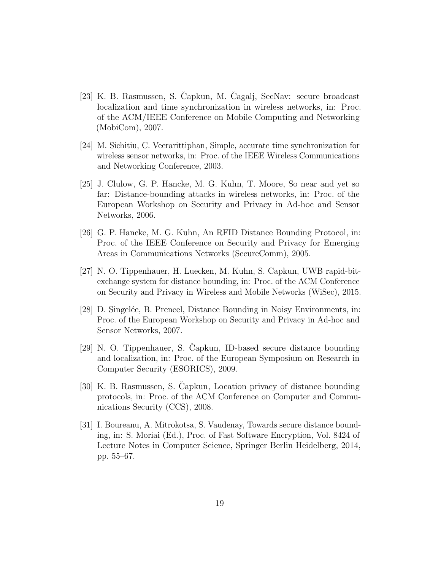- [23] K. B. Rasmussen, S. Capkun, M. Cagalj, SecNav: secure broadcast localization and time synchronization in wireless networks, in: Proc. of the ACM/IEEE Conference on Mobile Computing and Networking (MobiCom), 2007.
- [24] M. Sichitiu, C. Veerarittiphan, Simple, accurate time synchronization for wireless sensor networks, in: Proc. of the IEEE Wireless Communications and Networking Conference, 2003.
- [25] J. Clulow, G. P. Hancke, M. G. Kuhn, T. Moore, So near and yet so far: Distance-bounding attacks in wireless networks, in: Proc. of the European Workshop on Security and Privacy in Ad-hoc and Sensor Networks, 2006.
- [26] G. P. Hancke, M. G. Kuhn, An RFID Distance Bounding Protocol, in: Proc. of the IEEE Conference on Security and Privacy for Emerging Areas in Communications Networks (SecureComm), 2005.
- [27] N. O. Tippenhauer, H. Luecken, M. Kuhn, S. Capkun, UWB rapid-bitexchange system for distance bounding, in: Proc. of the ACM Conference on Security and Privacy in Wireless and Mobile Networks (WiSec), 2015.
- [28] D. Singelée, B. Preneel, Distance Bounding in Noisy Environments, in: Proc. of the European Workshop on Security and Privacy in Ad-hoc and Sensor Networks, 2007.
- $[29]$  N. O. Tippenhauer, S. Capkun, ID-based secure distance bounding and localization, in: Proc. of the European Symposium on Research in Computer Security (ESORICS), 2009.
- $[30]$  K. B. Rasmussen, S. Capkun, Location privacy of distance bounding protocols, in: Proc. of the ACM Conference on Computer and Communications Security (CCS), 2008.
- [31] I. Boureanu, A. Mitrokotsa, S. Vaudenay, Towards secure distance bounding, in: S. Moriai (Ed.), Proc. of Fast Software Encryption, Vol. 8424 of Lecture Notes in Computer Science, Springer Berlin Heidelberg, 2014, pp. 55–67.